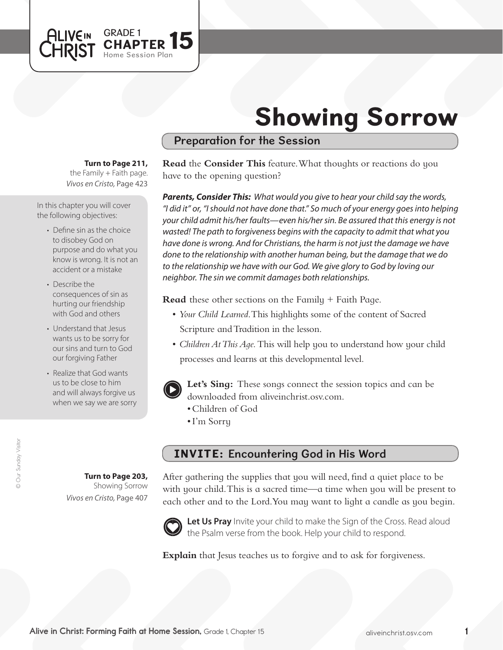

# Showing Sorrow

## Preparation for the Session

#### **Turn to Page 211,**

*Vivos en Cristo,* Page 423 the Family  $+$  Faith page.

In this chapter you will cover the following objectives:

- Define sin as the choice to disobey God on purpose and do what you know is wrong. It is not an accident or a mistake
- Describe the consequences of sin as hurting our friendship with God and others
- Understand that Jesus wants us to be sorry for our sins and turn to God our forgiving Father
- Realize that God wants us to be close to him and will always forgive us when we say we are sorry

**Read** the **Consider This** feature. What thoughts or reactions do you have to the opening question?

*Parents, Consider This: What would you give to hear your child say the words, "I did it" or, "I should not have done that." So much of your energy goes into helping your child admit his/her faults—even his/her sin. Be assured that this energy is not wasted! The path to forgiveness begins with the capacity to admit that what you have done is wrong. And for Christians, the harm is not just the damage we have done to the relationship with another human being, but the damage that we do to the relationship we have with our God. We give glory to God by loving our neighbor. The sin we commit damages both relationships.* 

**Read** these other sections on the Family + Faith Page.

- • *Your Child Learned*. This highlights some of the content of Sacred Scripture and Tradition in the lesson.
- *Children At This Aqe*. This will help you to understand how your child processes and learns at this developmental level.



**Let's Sing:** These songs connect the session topics and can be downloaded from aliveinchrist.osv.com.

- • Children of God
- • I'm Sorry

## INVITE: Encountering God in His Word

After gathering the supplies that you will need, find a quiet place to be with your child. This is a sacred time—a time when you will be present to each other and to the Lord. You may want to light a candle as you begin.



Let Us Pray Invite your child to make the Sign of the Cross. Read aloud the Psalm verse from the book. Help your child to respond.

**Explain** that Jesus teaches us to forgive and to ask for forgiveness.

**Turn to Page 203,** Showing Sorrow

*Vivos en Cristo,* Page 407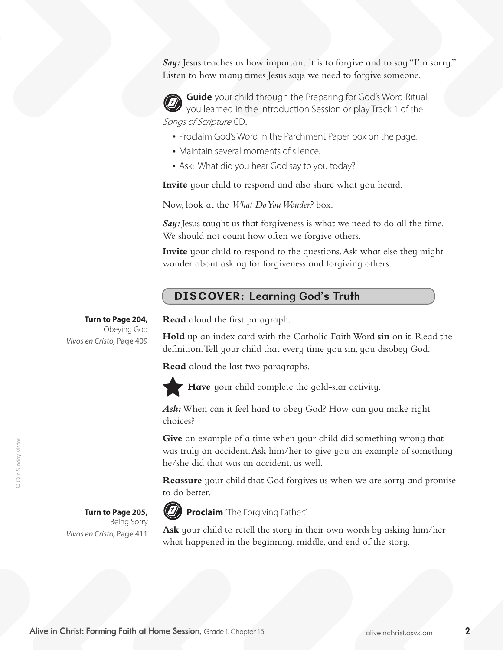*Say:* Jesus teaches us how important it is to forgive and to say "I'm sorry." Listen to how many times Jesus says we need to forgive someone.

**Guide** your child through the Preparing for God's Word Ritual you learned in the Introduction Session or play Track 1 of the Songs of Scripture CD.

- Proclaim God's Word in the Parchment Paper box on the page.
- Maintain several moments of silence.
- Ask: What did you hear God say to you today?

**Invite** your child to respond and also share what you heard.

Now, look at the *What Do You Wonder?* box.

*Say:* Jesus taught us that forgiveness is what we need to do all the time. We should not count how often we forgive others.

**Invite** your child to respond to the questions. Ask what else they might wonder about asking for forgiveness and forgiving others.

## DISCOVER: Learning God's Truth

**Turn to Page 204,** Obeying God *Vivos en Cristo,* Page 409 **Read** aloud the first paragraph.

**Hold** up an index card with the Catholic FaithWord **sin** on it. Read the definition.Tell your child that every time you sin, you disobey God.

**Read** aloud the last two paragraphs.



**Have** your child complete the gold-star activity.

*Ask:*When can it feel hard to obey God? How can you make right choices?

**Give** an example of a time when your child did something wrong that was truly an accident. Ask him/her to give you an example of something he/she did that was an accident, as well.

**Reassure** your child that God forgives us when we are sorry and promise to do better.

#### **Turn to Page 205,**  Being Sorry *Vivos en Cristo,* Page 411

**Proclaim** "The Forgiving Father."

**Ask** your child to retell the story in their own words by asking him/her what happened in the beginning, middle, and end of the story.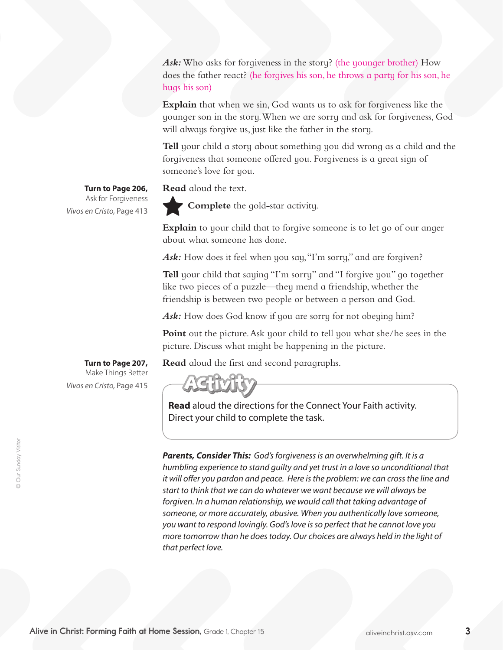Ask: Who asks for forgiveness in the story? (the younger brother) How does the father react? (he forgives his son, he throws a party for his son, he hugs his son)

**Explain** that when we sin, God wants us to ask for forgiveness like the younger son in the story.When we are sorry and ask for forgiveness, God will always forgive us, just like the father in the story.

**Tell** your child a story about something you did wrong as a child and the forgiveness that someone offered you. Forgiveness is a great sign of someone's love for you.

**Read** aloud the text.

**Turn to Page 206,** Ask for Forgiveness *Vivos en Cristo,* Page 413

**Complete** the gold-star activity.

**Explain** to your child that to forgive someone is to let go of our anger about what someone has done.

Ask: How does it feel when you say, "I'm sorry," and are forgiven?

**Tell** your child that saying "I'm sorry" and "I forgive you" go together like two pieces of a puzzle—they mend a friendship, whether the friendship is between two people or between a person and God.

Ask: How does God know if you are sorry for not obeying him?

Point out the picture. Ask your child to tell you what she/he sees in the picture. Discuss what might be happening in the picture.

**Read** aloud the first and second paragraphs.

**Turn to Page 207,** Make Things Better *Vivos en Cristo,* Page 415



**Read** aloud the directions for the Connect Your Faith activity. Direct your child to complete the task.

*Parents, Consider This: God's forgiveness is an overwhelming gift. It is a humbling experience to stand guilty and yet trust in a love so unconditional that it will offer you pardon and peace. Here is the problem: we can cross the line and start to think that we can do whatever we want because we will always be forgiven. In a human relationship, we would call that taking advantage of someone, or more accurately, abusive. When you authentically love someone, you want to respond lovingly. God's love is so perfect that he cannot love you more tomorrow than he does today. Our choices are always held in the light of that perfect love.*